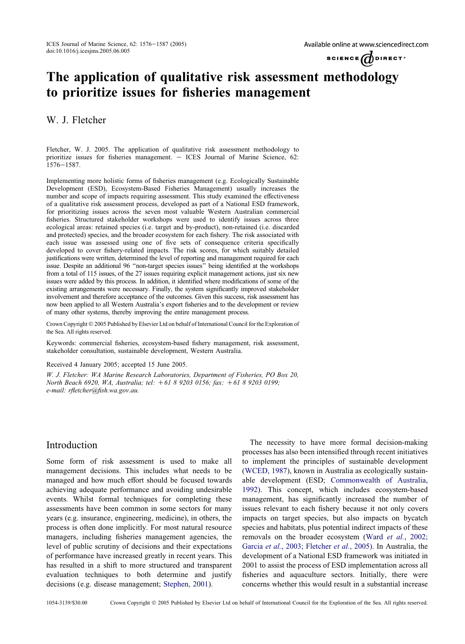SCIENCE  $\bigcirc$  DIRECT<sup>\*</sup>

# The application of qualitative risk assessment methodology to prioritize issues for fisheries management

# W. J. Fletcher

Fletcher, W. J. 2005. The application of qualitative risk assessment methodology to prioritize issues for fisheries management. - ICES Journal of Marine Science, 62: 1576-1587.

Implementing more holistic forms of fisheries management (e.g. Ecologically Sustainable Development (ESD), Ecosystem-Based Fisheries Management) usually increases the number and scope of impacts requiring assessment. This study examined the effectiveness of a qualitative risk assessment process, developed as part of a National ESD framework, for prioritizing issues across the seven most valuable Western Australian commercial fisheries. Structured stakeholder workshops were used to identify issues across three ecological areas: retained species (i.e. target and by-product), non-retained (i.e. discarded and protected) species, and the broader ecosystem for each fishery. The risk associated with each issue was assessed using one of five sets of consequence criteria specifically developed to cover fishery-related impacts. The risk scores, for which suitably detailed justifications were written, determined the level of reporting and management required for each issue. Despite an additional 96 ''non-target species issues'' being identified at the workshops from a total of 115 issues, of the 27 issues requiring explicit management actions, just six new issues were added by this process. In addition, it identified where modifications of some of the existing arrangements were necessary. Finally, the system significantly improved stakeholder involvement and therefore acceptance of the outcomes. Given this success, risk assessment has now been applied to all Western Australia's export fisheries and to the development or review of many other systems, thereby improving the entire management process.

Crown Copyright © 2005 Published by Elsevier Ltd on behalf of International Council for the Exploration of the Sea. All rights reserved.

Keywords: commercial fisheries, ecosystem-based fishery management, risk assessment, stakeholder consultation, sustainable development, Western Australia.

Received 4 January 2005; accepted 15 June 2005.

W. J. Fletcher: WA Marine Research Laboratories, Department of Fisheries, PO Box 20, North Beach 6920, WA, Australia; tel:  $+61892030156$ ; fax:  $+61892030199$ ; e-mail: rfletcher@fish.wa.gov.au.

# Introduction

Some form of risk assessment is used to make all management decisions. This includes what needs to be managed and how much effort should be focused towards achieving adequate performance and avoiding undesirable events. Whilst formal techniques for completing these assessments have been common in some sectors for many years (e.g. insurance, engineering, medicine), in others, the process is often done implicitly. For most natural resource managers, including fisheries management agencies, the level of public scrutiny of decisions and their expectations of performance have increased greatly in recent years. This has resulted in a shift to more structured and transparent evaluation techniques to both determine and justify decisions (e.g. disease management; [Stephen, 2001\)](#page-11-0).

The necessity to have more formal decision-making processes has also been intensified through recent initiatives to implement the principles of sustainable development ([WCED, 1987\)](#page-11-0), known in Australia as ecologically sustainable development (ESD; [Commonwealth of Australia,](#page-10-0) [1992\)](#page-10-0). This concept, which includes ecosystem-based management, has significantly increased the number of issues relevant to each fishery because it not only covers impacts on target species, but also impacts on bycatch species and habitats, plus potential indirect impacts of these removals on the broader ecosystem (Ward et al.[, 2002;](#page-11-0) Garcia et al.[, 2003; Fletcher](#page-11-0) et al., 2005). In Australia, the development of a National ESD framework was initiated in 2001 to assist the process of ESD implementation across all fisheries and aquaculture sectors. Initially, there were concerns whether this would result in a substantial increase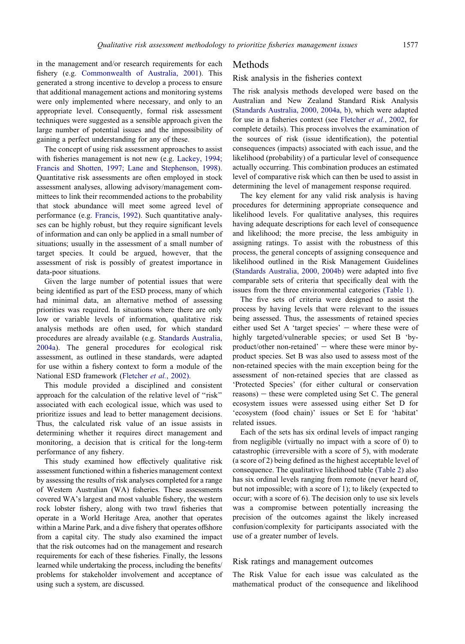in the management and/or research requirements for each fishery (e.g. [Commonwealth of Australia, 2001\)](#page-10-0). This generated a strong incentive to develop a process to ensure that additional management actions and monitoring systems were only implemented where necessary, and only to an appropriate level. Consequently, formal risk assessment techniques were suggested as a sensible approach given the large number of potential issues and the impossibility of gaining a perfect understanding for any of these.

The concept of using risk assessment approaches to assist with fisheries management is not new (e.g. [Lackey, 1994;](#page-11-0) [Francis and Shotten, 1997; Lane and Stephenson, 1998\)](#page-11-0). Quantitative risk assessments are often employed in stock assessment analyses, allowing advisory/management committees to link their recommended actions to the probability that stock abundance will meet some agreed level of performance (e.g. [Francis, 1992\)](#page-11-0). Such quantitative analyses can be highly robust, but they require significant levels of information and can only be applied in a small number of situations; usually in the assessment of a small number of target species. It could be argued, however, that the assessment of risk is possibly of greatest importance in data-poor situations.

Given the large number of potential issues that were being identified as part of the ESD process, many of which had minimal data, an alternative method of assessing priorities was required. In situations where there are only low or variable levels of information, qualitative risk analysis methods are often used, for which standard procedures are already available (e.g. [Standards Australia,](#page-11-0) [2004a](#page-11-0)). The general procedures for ecological risk assessment, as outlined in these standards, were adapted for use within a fishery context to form a module of the National ESD framework ([Fletcher](#page-10-0) et al., 2002).

This module provided a disciplined and consistent approach for the calculation of the relative level of ''risk'' associated with each ecological issue, which was used to prioritize issues and lead to better management decisions. Thus, the calculated risk value of an issue assists in determining whether it requires direct management and monitoring, a decision that is critical for the long-term performance of any fishery.

This study examined how effectively qualitative risk assessment functioned within a fisheries management context by assessing the results of risk analyses completed for a range of Western Australian (WA) fisheries. These assessments covered WA's largest and most valuable fishery, the western rock lobster fishery, along with two trawl fisheries that operate in a World Heritage Area, another that operates within a Marine Park, and a dive fishery that operates offshore from a capital city. The study also examined the impact that the risk outcomes had on the management and research requirements for each of these fisheries. Finally, the lessons learned while undertaking the process, including the benefits/ problems for stakeholder involvement and acceptance of using such a system, are discussed.

# Methods

Risk analysis in the fisheries context

The risk analysis methods developed were based on the Australian and New Zealand Standard Risk Analysis ([Standards Australia, 2000, 2004a, b\)](#page-11-0), which were adapted for use in a fisheries context (see [Fletcher](#page-10-0) et al., 2002, for complete details). This process involves the examination of the sources of risk (issue identification), the potential consequences (impacts) associated with each issue, and the likelihood (probability) of a particular level of consequence actually occurring. This combination produces an estimated level of comparative risk which can then be used to assist in determining the level of management response required.

The key element for any valid risk analysis is having procedures for determining appropriate consequence and likelihood levels. For qualitative analyses, this requires having adequate descriptions for each level of consequence and likelihood; the more precise, the less ambiguity in assigning ratings. To assist with the robustness of this process, the general concepts of assigning consequence and likelihood outlined in the Risk Management Guidelines ([Standards Australia, 2000, 2004b\)](#page-11-0) were adapted into five comparable sets of criteria that specifically deal with the issues from the three environmental categories ([Table 1](#page-2-0)).

The five sets of criteria were designed to assist the process by having levels that were relevant to the issues being assessed. Thus, the assessments of retained species either used Set A 'target species'  $-$  where these were of highly targeted/vulnerable species; or used Set B 'byproduct/other non-retained'  $-$  where these were minor byproduct species. Set B was also used to assess most of the non-retained species with the main exception being for the assessment of non-retained species that are classed as 'Protected Species' (for either cultural or conservation  $reasons$ ) – these were completed using Set C. The general ecosystem issues were assessed using either Set D for 'ecosystem (food chain)' issues or Set E for 'habitat' related issues.

Each of the sets has six ordinal levels of impact ranging from negligible (virtually no impact with a score of 0) to catastrophic (irreversible with a score of 5), with moderate (a score of 2) being defined as the highest acceptable level of consequence. The qualitative likelihood table ([Table 2](#page-3-0)) also has six ordinal levels ranging from remote (never heard of, but not impossible; with a score of 1); to likely (expected to occur; with a score of 6). The decision only to use six levels was a compromise between potentially increasing the precision of the outcomes against the likely increased confusion/complexity for participants associated with the use of a greater number of levels.

#### Risk ratings and management outcomes

The Risk Value for each issue was calculated as the mathematical product of the consequence and likelihood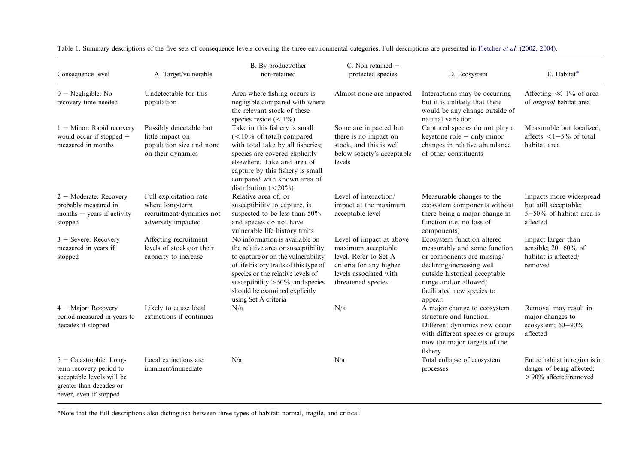| Consequence level                                                                                                                    | A. Target/vulnerable                                                                         | B. By-product/other<br>non-retained                                                                                                                                                                                                                                                          | C. Non-retained $-$<br>protected species                                                                                                            | D. Ecosystem                                                                                                                                                                                                             | E. Habitat*                                                                                 |
|--------------------------------------------------------------------------------------------------------------------------------------|----------------------------------------------------------------------------------------------|----------------------------------------------------------------------------------------------------------------------------------------------------------------------------------------------------------------------------------------------------------------------------------------------|-----------------------------------------------------------------------------------------------------------------------------------------------------|--------------------------------------------------------------------------------------------------------------------------------------------------------------------------------------------------------------------------|---------------------------------------------------------------------------------------------|
| $0$ – Negligible: No<br>recovery time needed                                                                                         | Undetectable for this<br>population                                                          | Area where fishing occurs is<br>negligible compared with where<br>the relevant stock of these<br>species reside $(<1\%)$                                                                                                                                                                     | Almost none are impacted                                                                                                                            | Interactions may be occurring<br>but it is unlikely that there<br>would be any change outside of<br>natural variation                                                                                                    | Affecting $\ll 1\%$ of area<br>of <i>original</i> habitat area                              |
| $1 -$ Minor: Rapid recovery<br>would occur if stopped $-$<br>measured in months                                                      | Possibly detectable but<br>little impact on<br>population size and none<br>on their dynamics | Take in this fishery is small<br>$(<10\%$ of total) compared<br>with total take by all fisheries;<br>species are covered explicitly<br>elsewhere. Take and area of<br>capture by this fishery is small<br>compared with known area of<br>distribution $(<20\%)$                              | Some are impacted but<br>there is no impact on<br>stock, and this is well<br>below society's acceptable<br>levels                                   | Captured species do not play a<br>$keystone role - only minor$<br>changes in relative abundance<br>of other constituents                                                                                                 | Measurable but localized:<br>affects $\langle -1-5\% \rangle$ of total<br>habitat area      |
| $2 -$ Moderate: Recovery<br>probably measured in<br>$months - years$ if activity<br>stopped                                          | Full exploitation rate<br>where long-term<br>recruitment/dynamics not<br>adversely impacted  | Relative area of, or<br>susceptibility to capture, is<br>suspected to be less than 50%<br>and species do not have<br>vulnerable life history traits                                                                                                                                          | Level of interaction/<br>impact at the maximum<br>acceptable level                                                                                  | Measurable changes to the<br>ecosystem components without<br>there being a major change in<br>function (i.e. no loss of<br>components)                                                                                   | Impacts more widespread<br>but still acceptable;<br>$5-50\%$ of habitat area is<br>affected |
| $3 -$ Severe: Recovery<br>measured in years if<br>stopped                                                                            | Affecting recruitment<br>levels of stocks/or their<br>capacity to increase                   | No information is available on<br>the relative area or susceptibility<br>to capture or on the vulnerability<br>of life history traits of this type of<br>species or the relative levels of<br>susceptibility $> 50\%$ , and species<br>should be examined explicitly<br>using Set A criteria | Level of impact at above<br>maximum acceptable<br>level. Refer to Set A<br>criteria for any higher<br>levels associated with<br>threatened species. | Ecosystem function altered<br>measurably and some function<br>or components are missing/<br>declining/increasing well<br>outside historical acceptable<br>range and/or allowed/<br>facilitated new species to<br>appear. | Impact larger than<br>sensible; $20-60\%$ of<br>habitat is affected/<br>removed             |
| $4 -$ Major: Recovery<br>period measured in years to<br>decades if stopped                                                           | Likely to cause local<br>extinctions if continues                                            | N/a                                                                                                                                                                                                                                                                                          | N/a                                                                                                                                                 | A major change to ecosystem<br>structure and function.<br>Different dynamics now occur<br>with different species or groups<br>now the major targets of the<br>fishery                                                    | Removal may result in<br>major changes to<br>ecosystem; 60-90%<br>affected                  |
| 5 - Catastrophic: Long-<br>term recovery period to<br>acceptable levels will be<br>greater than decades or<br>never, even if stopped | Local extinctions are<br>imminent/immediate                                                  | N/a                                                                                                                                                                                                                                                                                          | N/a                                                                                                                                                 | Total collapse of ecosystem<br>processes                                                                                                                                                                                 | Entire habitat in region is in<br>danger of being affected;<br>>90% affected/removed        |

<span id="page-2-0"></span>Table 1. Summary descriptions of the five sets of consequence levels covering the three environmental categories. Full descriptions are presented in [Fletcher](#page-10-0) et al. (2002, 2004).

\*Note that the full descriptions also distinguish between three types of habitat: normal, fragile, and critical.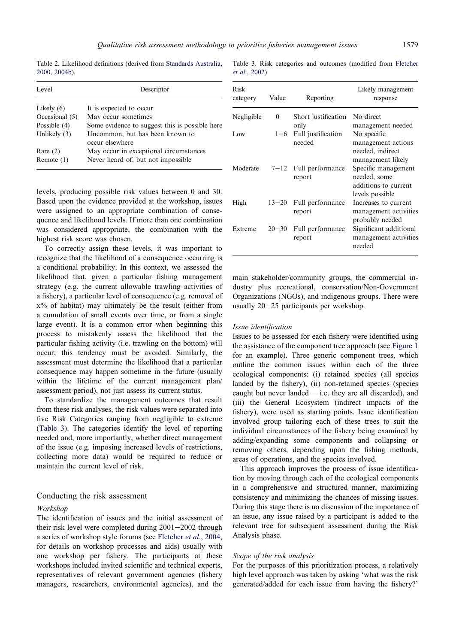<span id="page-3-0"></span>Table 2. Likelihood definitions (derived from [Standards Australia,](#page-11-0) [2000, 2004b\)](#page-11-0).

| Level          | Descriptor                                         |  |  |
|----------------|----------------------------------------------------|--|--|
| Likely $(6)$   | It is expected to occur                            |  |  |
| Occasional (5) | May occur sometimes                                |  |  |
| Possible $(4)$ | Some evidence to suggest this is possible here     |  |  |
| Unlikely $(3)$ | Uncommon, but has been known to<br>occur elsewhere |  |  |
| Rare $(2)$     | May occur in exceptional circumstances             |  |  |
| Remote $(1)$   | Never heard of, but not impossible                 |  |  |

levels, producing possible risk values between 0 and 30. Based upon the evidence provided at the workshop, issues were assigned to an appropriate combination of consequence and likelihood levels. If more than one combination was considered appropriate, the combination with the highest risk score was chosen.

To correctly assign these levels, it was important to recognize that the likelihood of a consequence occurring is a conditional probability. In this context, we assessed the likelihood that, given a particular fishing management strategy (e.g. the current allowable trawling activities of a fishery), a particular level of consequence (e.g. removal of x% of habitat) may ultimately be the result (either from a cumulation of small events over time, or from a single large event). It is a common error when beginning this process to mistakenly assess the likelihood that the particular fishing activity (i.e. trawling on the bottom) will occur; this tendency must be avoided. Similarly, the assessment must determine the likelihood that a particular consequence may happen sometime in the future (usually within the lifetime of the current management plan/ assessment period), not just assess its current status.

To standardize the management outcomes that result from these risk analyses, the risk values were separated into five Risk Categories ranging from negligible to extreme (Table 3). The categories identify the level of reporting needed and, more importantly, whether direct management of the issue (e.g. imposing increased levels of restrictions, collecting more data) would be required to reduce or maintain the current level of risk.

#### Conducting the risk assessment

#### Workshop

The identification of issues and the initial assessment of their risk level were completed during  $2001-2002$  through a series of workshop style forums (see [Fletcher](#page-10-0) et al., 2004, for details on workshop processes and aids) usually with one workshop per fishery. The participants at these workshops included invited scientific and technical experts, representatives of relevant government agencies (fishery managers, researchers, environmental agencies), and the

Table 3. Risk categories and outcomes (modified from [Fletcher](#page-10-0) et al.[, 2002\)](#page-10-0)

| Risk<br>category | Value     | Reporting                   | Likely management<br>response                                                  |
|------------------|-----------|-----------------------------|--------------------------------------------------------------------------------|
| Negligible       | 0         | Short justification<br>only | No direct<br>management needed                                                 |
| Low              | $1 - 6$   | Full justification          | No specific                                                                    |
|                  |           | needed                      | management actions<br>needed, indirect<br>management likely                    |
| Moderate         | $7 - 12$  | Full performance<br>report  | Specific management<br>needed, some<br>additions to current<br>levels possible |
| High             | $13 - 20$ | Full performance<br>report  | Increases to current<br>management activities<br>probably needed               |
| Extreme          | $20 - 30$ | Full performance<br>report  | Significant additional<br>management activities<br>needed                      |

main stakeholder/community groups, the commercial industry plus recreational, conservation/Non-Government Organizations (NGOs), and indigenous groups. There were usually  $20-25$  participants per workshop.

#### Issue identification

Issues to be assessed for each fishery were identified using the assistance of the component tree approach (see [Figure 1](#page-4-0) for an example). Three generic component trees, which outline the common issues within each of the three ecological components: (i) retained species (all species landed by the fishery), (ii) non-retained species (species caught but never landed  $-$  i.e. they are all discarded), and (iii) the General Ecosystem (indirect impacts of the fishery), were used as starting points. Issue identification involved group tailoring each of these trees to suit the individual circumstances of the fishery being examined by adding/expanding some components and collapsing or removing others, depending upon the fishing methods, areas of operations, and the species involved.

This approach improves the process of issue identification by moving through each of the ecological components in a comprehensive and structured manner, maximizing consistency and minimizing the chances of missing issues. During this stage there is no discussion of the importance of an issue, any issue raised by a participant is added to the relevant tree for subsequent assessment during the Risk Analysis phase.

#### Scope of the risk analysis

For the purposes of this prioritization process, a relatively high level approach was taken by asking 'what was the risk generated/added for each issue from having the fishery?'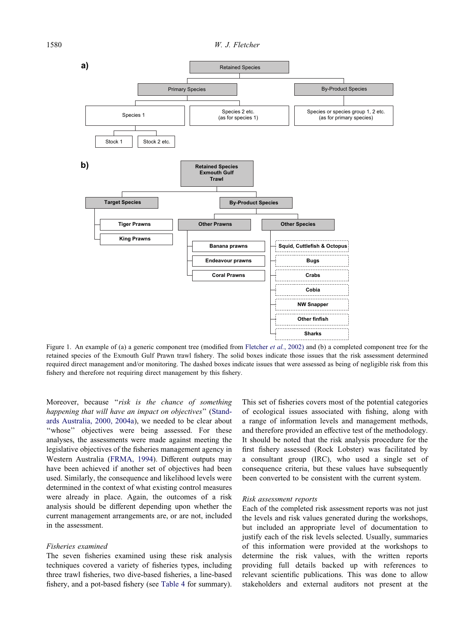<span id="page-4-0"></span>

Figure 1. An example of (a) a generic component tree (modified from [Fletcher](#page-10-0) et al., 2002) and (b) a completed component tree for the retained species of the Exmouth Gulf Prawn trawl fishery. The solid boxes indicate those issues that the risk assessment determined required direct management and/or monitoring. The dashed boxes indicate issues that were assessed as being of negligible risk from this fishery and therefore not requiring direct management by this fishery.

Moreover, because "risk is the chance of something happening that will have an impact on objectives'' [\(Stand](#page-11-0)[ards Australia, 2000, 2004a\)](#page-11-0), we needed to be clear about "whose" objectives were being assessed. For these analyses, the assessments were made against meeting the legislative objectives of the fisheries management agency in Western Australia ([FRMA, 1994](#page-11-0)). Different outputs may have been achieved if another set of objectives had been used. Similarly, the consequence and likelihood levels were determined in the context of what existing control measures were already in place. Again, the outcomes of a risk analysis should be different depending upon whether the current management arrangements are, or are not, included in the assessment.

#### Fisheries examined

The seven fisheries examined using these risk analysis techniques covered a variety of fisheries types, including three trawl fisheries, two dive-based fisheries, a line-based fishery, and a pot-based fishery (see [Table 4](#page-5-0) for summary). This set of fisheries covers most of the potential categories of ecological issues associated with fishing, along with a range of information levels and management methods, and therefore provided an effective test of the methodology. It should be noted that the risk analysis procedure for the first fishery assessed (Rock Lobster) was facilitated by a consultant group (IRC), who used a single set of consequence criteria, but these values have subsequently been converted to be consistent with the current system.

#### Risk assessment reports

Each of the completed risk assessment reports was not just the levels and risk values generated during the workshops, but included an appropriate level of documentation to justify each of the risk levels selected. Usually, summaries of this information were provided at the workshops to determine the risk values, with the written reports providing full details backed up with references to relevant scientific publications. This was done to allow stakeholders and external auditors not present at the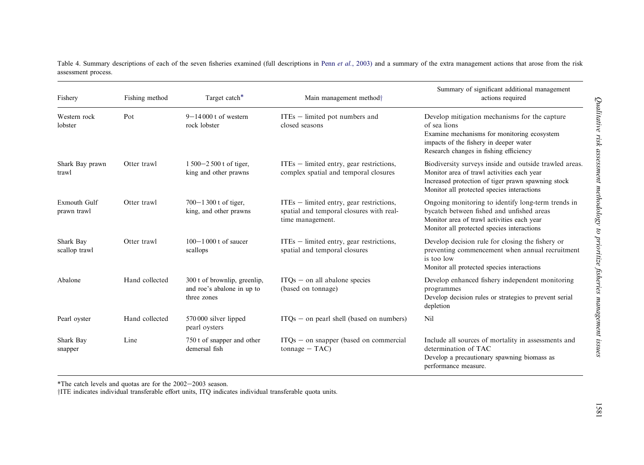<span id="page-5-0"></span>Table 4. Summary descriptions of each of the seven fisheries examined (full descriptions in Penn et al., [2003\)](#page-11-0) and a summary of the extra management actions that arose from the risk assessment process.

| Fishery                     | Fishing method | Target catch*                                                             | Main management method <sup>+</sup>                                                                        | Summary of significant additional management<br>actions required                                                                                                                                         |
|-----------------------------|----------------|---------------------------------------------------------------------------|------------------------------------------------------------------------------------------------------------|----------------------------------------------------------------------------------------------------------------------------------------------------------------------------------------------------------|
| Western rock<br>lobster     | Pot            | $9-14000$ t of western<br>rock lobster                                    | $ITEs$ – limited pot numbers and<br>closed seasons                                                         | Develop mitigation mechanisms for the capture<br>of sea lions<br>Examine mechanisms for monitoring ecosystem<br>impacts of the fishery in deeper water<br>Research changes in fishing efficiency         |
| Shark Bay prawn<br>trawl    | Otter trawl    | $1500 - 2500$ t of tiger,<br>king and other prawns                        | $ITEs$ – limited entry, gear restrictions,<br>complex spatial and temporal closures                        | Biodiversity surveys inside and outside trawled areas.<br>Monitor area of trawl activities each year<br>Increased protection of tiger prawn spawning stock<br>Monitor all protected species interactions |
| Exmouth Gulf<br>prawn trawl | Otter trawl    | $700 - 1300$ t of tiger,<br>king, and other prawns                        | $ITEs$ – limited entry, gear restrictions,<br>spatial and temporal closures with real-<br>time management. | Ongoing monitoring to identify long-term trends in<br>bycatch between fished and unfished areas<br>Monitor area of trawl activities each year<br>Monitor all protected species interactions              |
| Shark Bay<br>scallop trawl  | Otter trawl    | $100-1000$ t of saucer<br>scallops                                        | $ITEs$ – limited entry, gear restrictions,<br>spatial and temporal closures                                | Develop decision rule for closing the fishery or<br>preventing commencement when annual recruitment<br>is too low<br>Monitor all protected species interactions                                          |
| Abalone                     | Hand collected | 300 t of brownlip, greenlip,<br>and roe's abalone in up to<br>three zones | $ITQs$ – on all abalone species<br>(based on tonnage)                                                      | Develop enhanced fishery independent monitoring<br>programmes<br>Develop decision rules or strategies to prevent serial<br>depletion                                                                     |
| Pearl oyster                | Hand collected | 570 000 silver lipped<br>pearl oysters                                    | $ITQs$ – on pearl shell (based on numbers)                                                                 | Nil                                                                                                                                                                                                      |
| Shark Bay<br>snapper        | Line           | 750 t of snapper and other<br>demersal fish                               | $ITQs - on snapper$ (based on commercial<br>$tonnage - TAC)$                                               | Include all sources of mortality in assessments and<br>determination of TAC<br>Develop a precautionary spawning biomass as<br>performance measure.                                                       |

\*The catch levels and quotas are for the 2002 <sup>e</sup>2003 season. yITE indicates individual transferable effort units, ITQ indicates individual transferable quota units.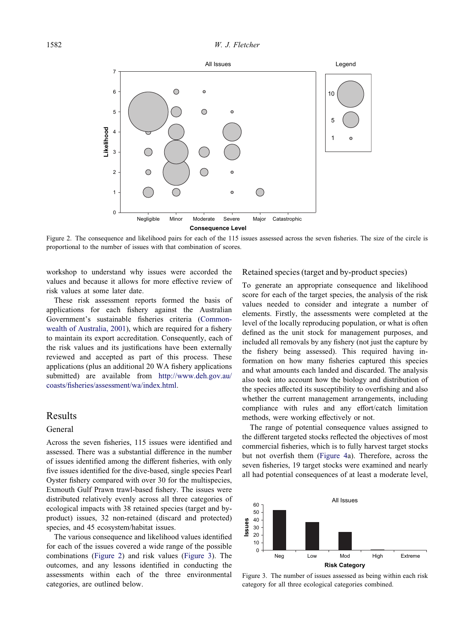

Figure 2. The consequence and likelihood pairs for each of the 115 issues assessed across the seven fisheries. The size of the circle is proportional to the number of issues with that combination of scores.

workshop to understand why issues were accorded the values and because it allows for more effective review of risk values at some later date.

These risk assessment reports formed the basis of applications for each fishery against the Australian Government's sustainable fisheries criteria [\(Common](#page-10-0)[wealth of Australia, 2001](#page-10-0)), which are required for a fishery to maintain its export accreditation. Consequently, each of the risk values and its justifications have been externally reviewed and accepted as part of this process. These applications (plus an additional 20 WA fishery applications submitted) are available from [http://www.deh.gov.au/](http://www.deh.gov.au/coasts/fisheries/assessment/wa/index.html) [coasts/fisheries/assessment/wa/index.html.](http://www.deh.gov.au/coasts/fisheries/assessment/wa/index.html)

# Results

# General

Across the seven fisheries, 115 issues were identified and assessed. There was a substantial difference in the number of issues identified among the different fisheries, with only five issues identified for the dive-based, single species Pearl Oyster fishery compared with over 30 for the multispecies, Exmouth Gulf Prawn trawl-based fishery. The issues were distributed relatively evenly across all three categories of ecological impacts with 38 retained species (target and byproduct) issues, 32 non-retained (discard and protected) species, and 45 ecosystem/habitat issues.

The various consequence and likelihood values identified for each of the issues covered a wide range of the possible combinations (Figure 2) and risk values (Figure 3). The outcomes, and any lessons identified in conducting the assessments within each of the three environmental categories, are outlined below.

#### Retained species (target and by-product species)

To generate an appropriate consequence and likelihood score for each of the target species, the analysis of the risk values needed to consider and integrate a number of elements. Firstly, the assessments were completed at the level of the locally reproducing population, or what is often defined as the unit stock for management purposes, and included all removals by any fishery (not just the capture by the fishery being assessed). This required having information on how many fisheries captured this species and what amounts each landed and discarded. The analysis also took into account how the biology and distribution of the species affected its susceptibility to overfishing and also whether the current management arrangements, including compliance with rules and any effort/catch limitation methods, were working effectively or not.

The range of potential consequence values assigned to the different targeted stocks reflected the objectives of most commercial fisheries, which is to fully harvest target stocks but not overfish them ([Figure 4a](#page-7-0)). Therefore, across the seven fisheries, 19 target stocks were examined and nearly all had potential consequences of at least a moderate level,



Figure 3. The number of issues assessed as being within each risk category for all three ecological categories combined.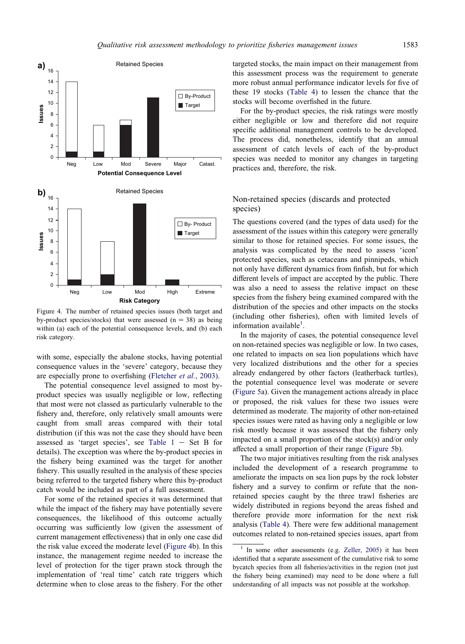<span id="page-7-0"></span>

Figure 4. The number of retained species issues (both target and by-product species/stocks) that were assessed  $(n = 38)$  as being within (a) each of the potential consequence levels, and (b) each risk category.

with some, especially the abalone stocks, having potential consequence values in the 'severe' category, because they are especially prone to overfishing [\(Fletcher](#page-11-0) et al., 2003).

The potential consequence level assigned to most byproduct species was usually negligible or low, reflecting that most were not classed as particularly vulnerable to the fishery and, therefore, only relatively small amounts were caught from small areas compared with their total distribution (if this was not the case they should have been assessed as 'target species', see Table  $1 - Set B$  for details). The exception was where the by-product species in the fishery being examined was the target for another fishery. This usually resulted in the analysis of these species being referred to the targeted fishery where this by-product catch would be included as part of a full assessment.

For some of the retained species it was determined that while the impact of the fishery may have potentially severe consequences, the likelihood of this outcome actually occurring was sufficiently low (given the assessment of current management effectiveness) that in only one case did the risk value exceed the moderate level (Figure 4b). In this instance, the management regime needed to increase the level of protection for the tiger prawn stock through the implementation of 'real time' catch rate triggers which determine when to close areas to the fishery. For the other targeted stocks, the main impact on their management from this assessment process was the requirement to generate more robust annual performance indicator levels for five of these 19 stocks ([Table 4](#page-5-0)) to lessen the chance that the stocks will become overfished in the future.

For the by-product species, the risk ratings were mostly either negligible or low and therefore did not require specific additional management controls to be developed. The process did, nonetheless, identify that an annual assessment of catch levels of each of the by-product species was needed to monitor any changes in targeting practices and, therefore, the risk.

# Non-retained species (discards and protected species)

The questions covered (and the types of data used) for the assessment of the issues within this category were generally similar to those for retained species. For some issues, the analysis was complicated by the need to assess 'icon' protected species, such as cetaceans and pinnipeds, which not only have different dynamics from finfish, but for which different levels of impact are accepted by the public. There was also a need to assess the relative impact on these species from the fishery being examined compared with the distribution of the species and other impacts on the stocks (including other fisheries), often with limited levels of information available<sup>1</sup>.

In the majority of cases, the potential consequence level on non-retained species was negligible or low. In two cases, one related to impacts on sea lion populations which have very localized distributions and the other for a species already endangered by other factors (leatherback turtles), the potential consequence level was moderate or severe ([Figure 5a](#page-8-0)). Given the management actions already in place or proposed, the risk values for these two issues were determined as moderate. The majority of other non-retained species issues were rated as having only a negligible or low risk mostly because it was assessed that the fishery only impacted on a small proportion of the stock(s) and/or only affected a small proportion of their range ([Figure 5b](#page-8-0)).

The two major initiatives resulting from the risk analyses included the development of a research programme to ameliorate the impacts on sea lion pups by the rock lobster fishery and a survey to confirm or refute that the nonretained species caught by the three trawl fisheries are widely distributed in regions beyond the areas fished and therefore provide more information for the next risk analysis [\(Table 4](#page-5-0)). There were few additional management outcomes related to non-retained species issues, apart from

In some other assessments (e.g. [Zeller, 2005\)](#page-11-0) it has been identified that a separate assessment of the cumulative risk to some bycatch species from all fisheries/activities in the region (not just the fishery being examined) may need to be done where a full understanding of all impacts was not possible at the workshop.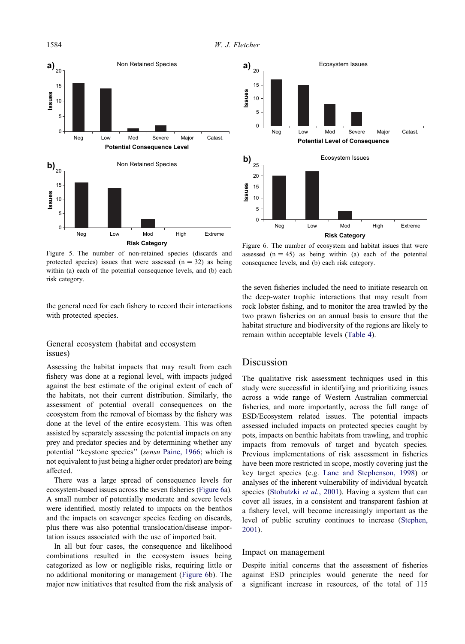<span id="page-8-0"></span>

Figure 5. The number of non-retained species (discards and protected species) issues that were assessed  $(n = 32)$  as being within (a) each of the potential consequence levels, and (b) each risk category.



## General ecosystem (habitat and ecosystem issues)

Assessing the habitat impacts that may result from each fishery was done at a regional level, with impacts judged against the best estimate of the original extent of each of the habitats, not their current distribution. Similarly, the assessment of potential overall consequences on the ecosystem from the removal of biomass by the fishery was done at the level of the entire ecosystem. This was often assisted by separately assessing the potential impacts on any prey and predator species and by determining whether any potential "keystone species" (sensu [Paine, 1966](#page-11-0); which is not equivalent to just being a higher order predator) are being affected.

There was a large spread of consequence levels for ecosystem-based issues across the seven fisheries (Figure 6a). A small number of potentially moderate and severe levels were identified, mostly related to impacts on the benthos and the impacts on scavenger species feeding on discards, plus there was also potential translocation/disease importation issues associated with the use of imported bait.

In all but four cases, the consequence and likelihood combinations resulted in the ecosystem issues being categorized as low or negligible risks, requiring little or no additional monitoring or management (Figure 6b). The major new initiatives that resulted from the risk analysis of



Figure 6. The number of ecosystem and habitat issues that were assessed  $(n = 45)$  as being within (a) each of the potential consequence levels, and (b) each risk category.

the seven fisheries included the need to initiate research on the deep-water trophic interactions that may result from rock lobster fishing, and to monitor the area trawled by the two prawn fisheries on an annual basis to ensure that the habitat structure and biodiversity of the regions are likely to remain within acceptable levels ([Table 4\)](#page-5-0).

# Discussion

The qualitative risk assessment techniques used in this study were successful in identifying and prioritizing issues across a wide range of Western Australian commercial fisheries, and more importantly, across the full range of ESD/Ecosystem related issues. The potential impacts assessed included impacts on protected species caught by pots, impacts on benthic habitats from trawling, and trophic impacts from removals of target and bycatch species. Previous implementations of risk assessment in fisheries have been more restricted in scope, mostly covering just the key target species (e.g. [Lane and Stephenson, 1998\)](#page-11-0) or analyses of the inherent vulnerability of individual bycatch species [\(Stobutzki](#page-11-0) et al., 2001). Having a system that can cover all issues, in a consistent and transparent fashion at a fishery level, will become increasingly important as the level of public scrutiny continues to increase ([Stephen,](#page-11-0) [2001\)](#page-11-0).

#### Impact on management

Despite initial concerns that the assessment of fisheries against ESD principles would generate the need for a significant increase in resources, of the total of 115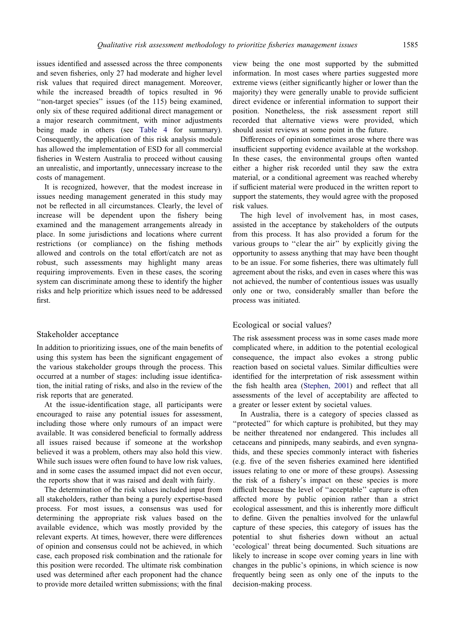issues identified and assessed across the three components and seven fisheries, only 27 had moderate and higher level risk values that required direct management. Moreover, while the increased breadth of topics resulted in 96 "non-target species" issues (of the 115) being examined, only six of these required additional direct management or a major research commitment, with minor adjustments being made in others (see [Table 4](#page-5-0) for summary). Consequently, the application of this risk analysis module has allowed the implementation of ESD for all commercial fisheries in Western Australia to proceed without causing an unrealistic, and importantly, unnecessary increase to the costs of management.

It is recognized, however, that the modest increase in issues needing management generated in this study may not be reflected in all circumstances. Clearly, the level of increase will be dependent upon the fishery being examined and the management arrangements already in place. In some jurisdictions and locations where current restrictions (or compliance) on the fishing methods allowed and controls on the total effort/catch are not as robust, such assessments may highlight many areas requiring improvements. Even in these cases, the scoring system can discriminate among these to identify the higher risks and help prioritize which issues need to be addressed first.

#### Stakeholder acceptance

In addition to prioritizing issues, one of the main benefits of using this system has been the significant engagement of the various stakeholder groups through the process. This occurred at a number of stages: including issue identification, the initial rating of risks, and also in the review of the risk reports that are generated.

At the issue-identification stage, all participants were encouraged to raise any potential issues for assessment, including those where only rumours of an impact were available. It was considered beneficial to formally address all issues raised because if someone at the workshop believed it was a problem, others may also hold this view. While such issues were often found to have low risk values, and in some cases the assumed impact did not even occur, the reports show that it was raised and dealt with fairly.

The determination of the risk values included input from all stakeholders, rather than being a purely expertise-based process. For most issues, a consensus was used for determining the appropriate risk values based on the available evidence, which was mostly provided by the relevant experts. At times, however, there were differences of opinion and consensus could not be achieved, in which case, each proposed risk combination and the rationale for this position were recorded. The ultimate risk combination used was determined after each proponent had the chance to provide more detailed written submissions; with the final view being the one most supported by the submitted information. In most cases where parties suggested more extreme views (either significantly higher or lower than the majority) they were generally unable to provide sufficient direct evidence or inferential information to support their position. Nonetheless, the risk assessment report still recorded that alternative views were provided, which should assist reviews at some point in the future.

Differences of opinion sometimes arose where there was insufficient supporting evidence available at the workshop. In these cases, the environmental groups often wanted either a higher risk recorded until they saw the extra material, or a conditional agreement was reached whereby if sufficient material were produced in the written report to support the statements, they would agree with the proposed risk values.

The high level of involvement has, in most cases, assisted in the acceptance by stakeholders of the outputs from this process. It has also provided a forum for the various groups to ''clear the air'' by explicitly giving the opportunity to assess anything that may have been thought to be an issue. For some fisheries, there was ultimately full agreement about the risks, and even in cases where this was not achieved, the number of contentious issues was usually only one or two, considerably smaller than before the process was initiated.

#### Ecological or social values?

The risk assessment process was in some cases made more complicated where, in addition to the potential ecological consequence, the impact also evokes a strong public reaction based on societal values. Similar difficulties were identified for the interpretation of risk assessment within the fish health area ([Stephen, 2001\)](#page-11-0) and reflect that all assessments of the level of acceptability are affected to a greater or lesser extent by societal values.

In Australia, there is a category of species classed as ''protected'' for which capture is prohibited, but they may be neither threatened nor endangered. This includes all cetaceans and pinnipeds, many seabirds, and even syngnathids, and these species commonly interact with fisheries (e.g. five of the seven fisheries examined here identified issues relating to one or more of these groups). Assessing the risk of a fishery's impact on these species is more difficult because the level of ''acceptable'' capture is often affected more by public opinion rather than a strict ecological assessment, and this is inherently more difficult to define. Given the penalties involved for the unlawful capture of these species, this category of issues has the potential to shut fisheries down without an actual 'ecological' threat being documented. Such situations are likely to increase in scope over coming years in line with changes in the public's opinions, in which science is now frequently being seen as only one of the inputs to the decision-making process.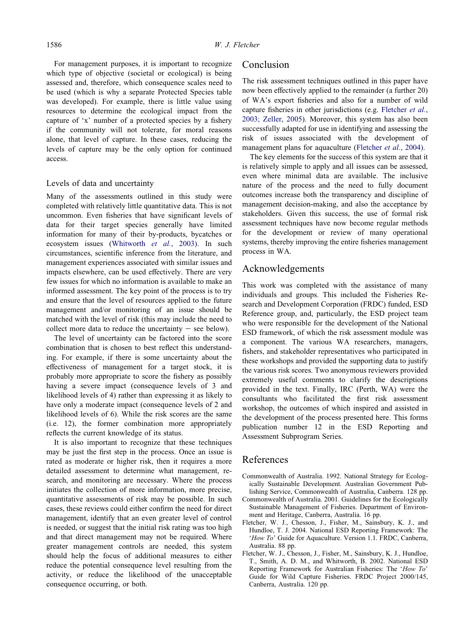<span id="page-10-0"></span>For management purposes, it is important to recognize which type of objective (societal or ecological) is being assessed and, therefore, which consequence scales need to be used (which is why a separate Protected Species table was developed). For example, there is little value using resources to determine the ecological impact from the capture of 'x' number of a protected species by a fishery if the community will not tolerate, for moral reasons alone, that level of capture. In these cases, reducing the levels of capture may be the only option for continued access.

### Levels of data and uncertainty

Many of the assessments outlined in this study were completed with relatively little quantitative data. This is not uncommon. Even fisheries that have significant levels of data for their target species generally have limited information for many of their by-products, bycatches or ecosystem issues ([Whitworth](#page-11-0) et al., 2003). In such circumstances, scientific inference from the literature, and management experiences associated with similar issues and impacts elsewhere, can be used effectively. There are very few issues for which no information is available to make an informed assessment. The key point of the process is to try and ensure that the level of resources applied to the future management and/or monitoring of an issue should be matched with the level of risk (this may include the need to collect more data to reduce the uncertainty  $-$  see below).

The level of uncertainty can be factored into the score combination that is chosen to best reflect this understanding. For example, if there is some uncertainty about the effectiveness of management for a target stock, it is probably more appropriate to score the fishery as possibly having a severe impact (consequence levels of 3 and likelihood levels of 4) rather than expressing it as likely to have only a moderate impact (consequence levels of 2 and likelihood levels of 6). While the risk scores are the same (i.e. 12), the former combination more appropriately reflects the current knowledge of its status.

It is also important to recognize that these techniques may be just the first step in the process. Once an issue is rated as moderate or higher risk, then it requires a more detailed assessment to determine what management, research, and monitoring are necessary. Where the process initiates the collection of more information, more precise, quantitative assessments of risk may be possible. In such cases, these reviews could either confirm the need for direct management, identify that an even greater level of control is needed, or suggest that the initial risk rating was too high and that direct management may not be required. Where greater management controls are needed, this system should help the focus of additional measures to either reduce the potential consequence level resulting from the activity, or reduce the likelihood of the unacceptable consequence occurring, or both.

# Conclusion

The risk assessment techniques outlined in this paper have now been effectively applied to the remainder (a further 20) of WA's export fisheries and also for a number of wild capture fisheries in other jurisdictions (e.g. [Fletcher](#page-11-0) et al., [2003; Zeller, 2005](#page-11-0)). Moreover, this system has also been successfully adapted for use in identifying and assessing the risk of issues associated with the development of management plans for aquaculture (Fletcher et al., 2004).

The key elements for the success of this system are that it is relatively simple to apply and all issues can be assessed, even where minimal data are available. The inclusive nature of the process and the need to fully document outcomes increase both the transparency and discipline of management decision-making, and also the acceptance by stakeholders. Given this success, the use of formal risk assessment techniques have now become regular methods for the development or review of many operational systems, thereby improving the entire fisheries management process in WA.

# Acknowledgements

This work was completed with the assistance of many individuals and groups. This included the Fisheries Research and Development Corporation (FRDC) funded, ESD Reference group, and, particularly, the ESD project team who were responsible for the development of the National ESD framework, of which the risk assessment module was a component. The various WA researchers, managers, fishers, and stakeholder representatives who participated in these workshops and provided the supporting data to justify the various risk scores. Two anonymous reviewers provided extremely useful comments to clarify the descriptions provided in the text. Finally, IRC (Perth, WA) were the consultants who facilitated the first risk assessment workshop, the outcomes of which inspired and assisted in the development of the process presented here. This forms publication number 12 in the ESD Reporting and Assessment Subprogram Series.

# References

- Commonwealth of Australia. 1992. National Strategy for Ecologically Sustainable Development. Australian Government Publishing Service, Commonwealth of Australia, Canberra. 128 pp.
- Commonwealth of Australia. 2001. Guidelines for the Ecologically Sustainable Management of Fisheries. Department of Environment and Heritage, Canberra, Australia. 16 pp.
- Fletcher, W. J., Chesson, J., Fisher, M., Sainsbury, K. J., and Hundloe, T. J. 2004. National ESD Reporting Framework: The 'How To' Guide for Aquaculture. Version 1.1. FRDC, Canberra, Australia. 88 pp.
- Fletcher, W. J., Chesson, J., Fisher, M., Sainsbury, K. J., Hundloe, T., Smith, A. D. M., and Whitworth, B. 2002. National ESD Reporting Framework for Australian Fisheries: The 'How To' Guide for Wild Capture Fisheries. FRDC Project 2000/145, Canberra, Australia. 120 pp.